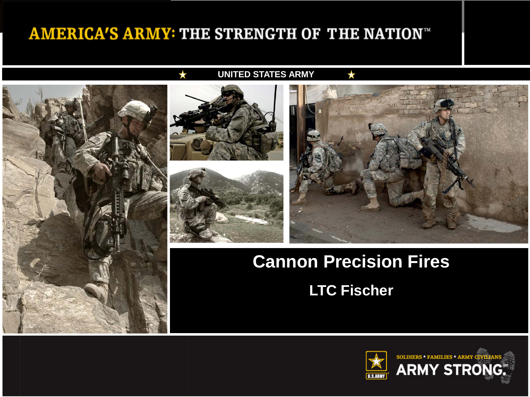#### **AMERICA'S ARMY: THE STRENGTH OF THE NATION™**



#### **UNITED STATES ARMY**





### **Cannon Precision Fires**

**LTC Fischer**

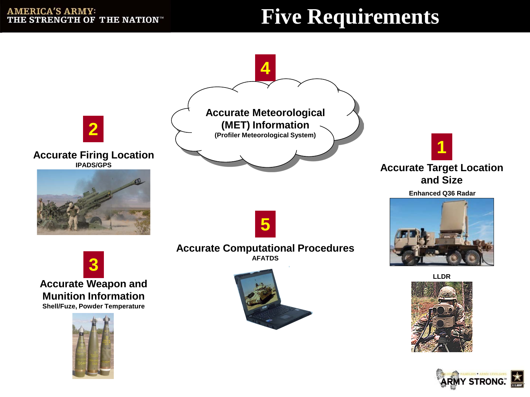# **Five Requirements**

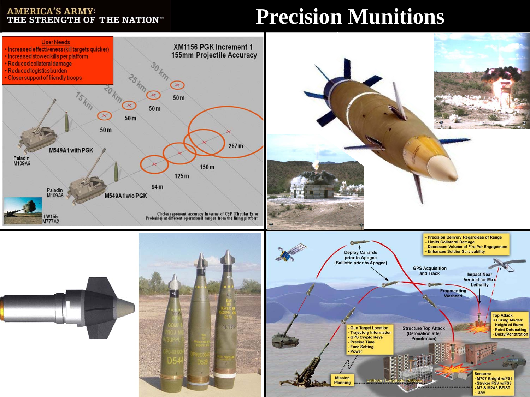#### **AMERICA'S ARMY:<br>THE STRENGTH OF THE NATION**"

## **Precision Munitions**

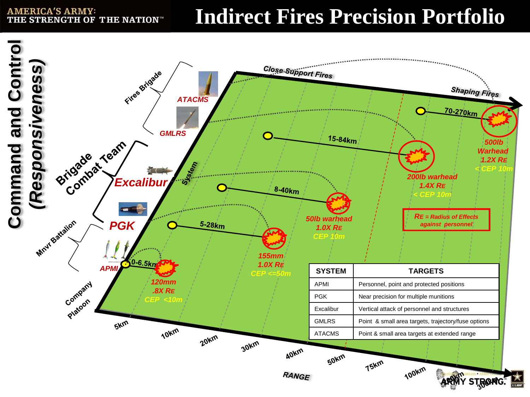**AMERICA'S ARMY:** THE STRENGTH OF THE NATION™

## **Indirect Fires Precision Portfolio**

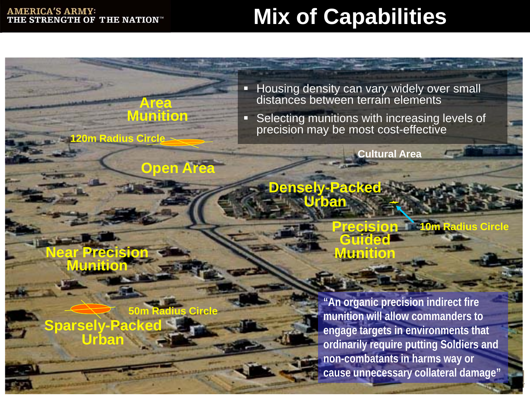#### **AMERICA'S ARMY:** THE STRENGTH OF THE NATION™

# **Mix of Capabilities**

**Housing density can vary widely over small** distances between terrain elements

**Selecting munitions with increasing levels of** precision may be most cost-effective

> **Guided Munition**

**Cultural Area**

**Densely-Packed Urban**

**Precisi Munition**

**120m Radius Circle**

**Sparsely-Packed Urban 50m Radius Circle**

**Open Area**

**Area Munition**

> **"An organic precision indirect fire munition will allow commanders to engage targets in environments that ordinarily require putting Soldiers and non-combatants in harms way or cause unnecessary collateral damage"**

**Precision 10m Radius Circle**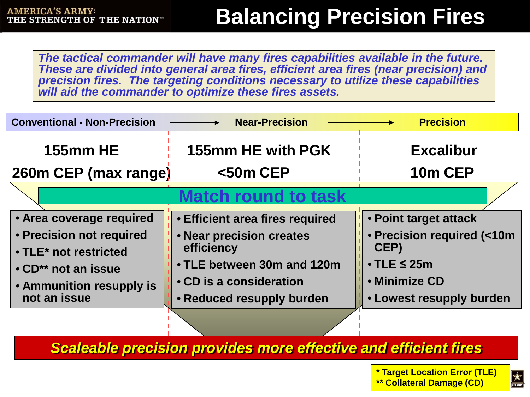# **Balancing Precision Fires**

*The tactical commander will have many fires capabilities available in the future. These are divided into general area fires, efficient area fires (near precision) and precision fires. The targeting conditions necessary to utilize these capabilities will aid the commander to optimize these fires assets.* 

| <b>Conventional - Non-Precision</b> | <b>Near-Precision</b>                  | <b>Precision</b>           |
|-------------------------------------|----------------------------------------|----------------------------|
| <b>155mm HE</b>                     | 155mm HE with PGK                      | <b>Excalibur</b>           |
| 260m CEP (max range)                | $<$ 50m CEP                            | 10m CEP                    |
| atch round to task                  |                                        |                            |
| • Area coverage required            | <b>• Efficient area fires required</b> | • Point target attack      |
| • Precision not required            | . Near precision creates               | • Precision required (<10m |
| • TLE* not restricted               | efficiency                             | CEP)                       |
| • CD <sup>**</sup> not an issue     | • TLE between 30m and 120m             | $\bullet$ TLE $\leq$ 25m   |
| • Ammunition resupply is            | • CD is a consideration                | • Minimize CD              |
| not an issue                        | • Reduced resupply burden              | • Lowest resupply burden   |

*Scaleable precision provides more effective and efficient fires*